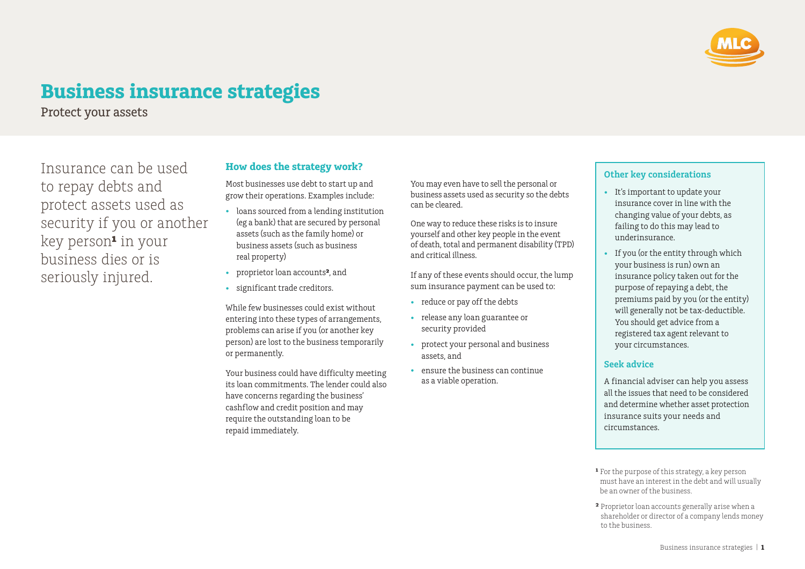

# **Business insurance strategies**

Protect your assets

Insurance can be used to repay debts and protect assets used as security if you or another key person**¹** in your business dies or is seriously injured.

### **How does the strategy work?**

Most businesses use debt to start up and grow their operations. Examples include:

- loans sourced from a lending institution (eg a bank) that are secured by personal assets (such as the family home) or business assets (such as business real property)
- proprietor loan accounts**²**, and
- significant trade creditors.

While few businesses could exist without entering into these types of arrangements, problems can arise if you (or another key person) are lost to the business temporarily or permanently.

Your business could have difficulty meeting its loan commitments. The lender could also have concerns regarding the business' cashflow and credit position and may require the outstanding loan to be repaid immediately.

You may even have to sell the personal or business assets used as security so the debts can be cleared.

One way to reduce these risks is to insure yourself and other key people in the event of death, total and permanent disability (TPD) and critical illness.

If any of these events should occur, the lump sum insurance payment can be used to:

- reduce or pay off the debts
- release any loan guarantee or security provided
- protect your personal and business assets, and
- ensure the business can continue as a viable operation.

### **Other key considerations**

- It's important to update your insurance cover in line with the changing value of your debts, as failing to do this may lead to underinsurance.
- If you (or the entity through which your business is run) own an insurance policy taken out for the purpose of repaying a debt, the premiums paid by you (or the entity) will generally not be tax-deductible. You should get advice from a registered tax agent relevant to your circumstances.

### **Seek advice**

A financial adviser can help you assess all the issues that need to be considered and determine whether asset protection insurance suits your needs and circumstances.

**¹** For the purpose of this strategy, a key person must have an interest in the debt and will usually be an owner of the business.

**²** Proprietor loan accounts generally arise when a shareholder or director of a company lends money to the business.